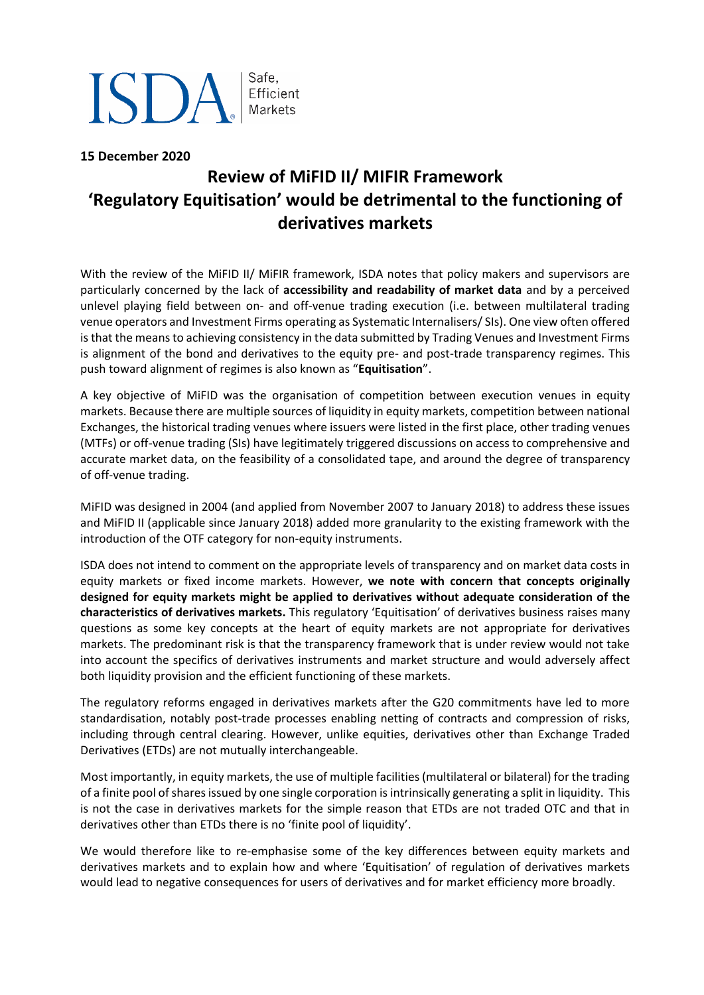# **ISDA** Safe, Efficient

**15 December 2020**

# **Review of MiFID II/ MIFIR Framework 'Regulatory Equitisation' would be detrimental to the functioning of derivatives markets**

With the review of the MiFID II/ MiFIR framework, ISDA notes that policy makers and supervisors are particularly concerned by the lack of **accessibility and readability of market data** and by a perceived unlevel playing field between on- and off-venue trading execution (i.e. between multilateral trading venue operators and Investment Firms operating as Systematic Internalisers/ SIs). One view often offered is that the means to achieving consistency in the data submitted by Trading Venues and Investment Firms is alignment of the bond and derivatives to the equity pre- and post-trade transparency regimes. This push toward alignment of regimes is also known as "**Equitisation**".

A key objective of MiFID was the organisation of competition between execution venues in equity markets. Because there are multiple sources of liquidity in equity markets, competition between national Exchanges, the historical trading venues where issuers were listed in the first place, other trading venues (MTFs) or off-venue trading (SIs) have legitimately triggered discussions on access to comprehensive and accurate market data, on the feasibility of a consolidated tape, and around the degree of transparency of off-venue trading.

MiFID was designed in 2004 (and applied from November 2007 to January 2018) to address these issues and MiFID II (applicable since January 2018) added more granularity to the existing framework with the introduction of the OTF category for non-equity instruments.

ISDA does not intend to comment on the appropriate levels of transparency and on market data costs in equity markets or fixed income markets. However, **we note with concern that concepts originally designed for equity markets might be applied to derivatives without adequate consideration of the characteristics of derivatives markets.** This regulatory 'Equitisation' of derivatives business raises many questions as some key concepts at the heart of equity markets are not appropriate for derivatives markets. The predominant risk is that the transparency framework that is under review would not take into account the specifics of derivatives instruments and market structure and would adversely affect both liquidity provision and the efficient functioning of these markets.

The regulatory reforms engaged in derivatives markets after the G20 commitments have led to more standardisation, notably post-trade processes enabling netting of contracts and compression of risks, including through central clearing. However, unlike equities, derivatives other than Exchange Traded Derivatives (ETDs) are not mutually interchangeable.

Most importantly, in equity markets, the use of multiple facilities (multilateral or bilateral) for the trading of a finite pool of shares issued by one single corporation is intrinsically generating a split in liquidity. This is not the case in derivatives markets for the simple reason that ETDs are not traded OTC and that in derivatives other than ETDs there is no 'finite pool of liquidity'.

We would therefore like to re-emphasise some of the key differences between equity markets and derivatives markets and to explain how and where 'Equitisation' of regulation of derivatives markets would lead to negative consequences for users of derivatives and for market efficiency more broadly.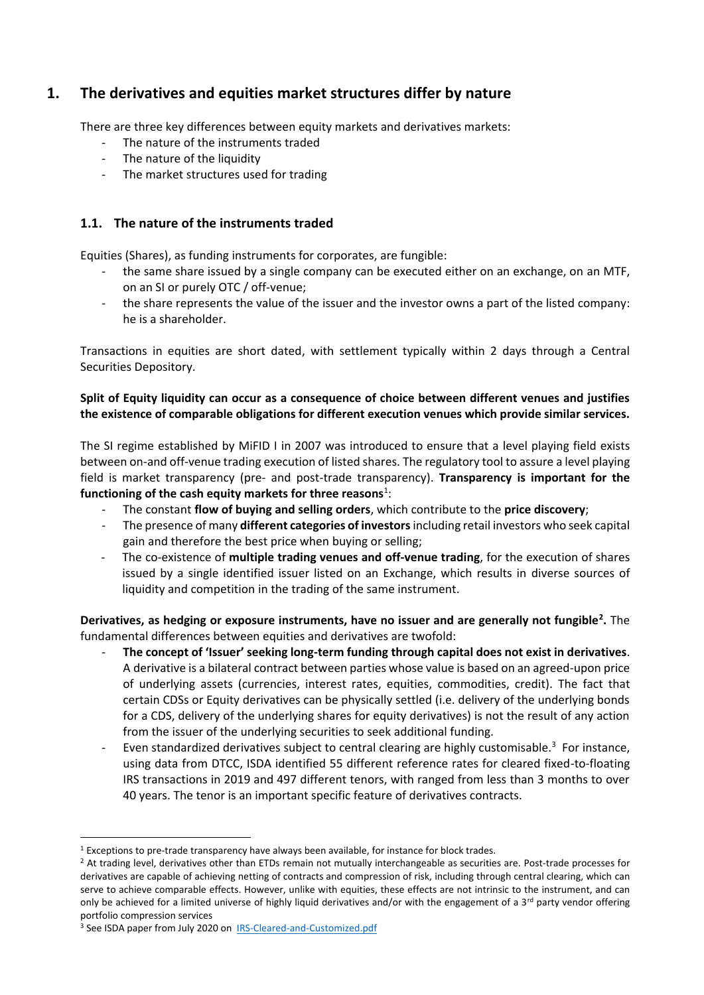### **1. The derivatives and equities market structures differ by nature**

There are three key differences between equity markets and derivatives markets:

- The nature of the instruments traded
- The nature of the liquidity
- The market structures used for trading

#### **1.1. The nature of the instruments traded**

Equities (Shares), as funding instruments for corporates, are fungible:

- the same share issued by a single company can be executed either on an exchange, on an MTF, on an SI or purely OTC / off-venue;
- the share represents the value of the issuer and the investor owns a part of the listed company: he is a shareholder.

Transactions in equities are short dated, with settlement typically within 2 days through a Central Securities Depository.

#### **Split of Equity liquidity can occur as a consequence of choice between different venues and justifies the existence of comparable obligations for different execution venues which provide similar services.**

The SI regime established by MiFID I in 2007 was introduced to ensure that a level playing field exists between on-and off-venue trading execution of listed shares. The regulatory tool to assure a level playing field is market transparency (pre- and post-trade transparency). **Transparency is important for the**  functioning of the cash equity markets for three reasons<sup>1</sup>:

- The constant **flow of buying and selling orders**, which contribute to the **price discovery**;
- The presence of many **different categories of investors**including retail investors who seek capital gain and therefore the best price when buying or selling;
- The co-existence of **multiple trading venues and off-venue trading**, for the execution of shares issued by a single identified issuer listed on an Exchange, which results in diverse sources of liquidity and competition in the trading of the same instrument.

**Derivatives, as hedging or exposure instruments, have no issuer and are generally not fungible<sup>2</sup> .** The fundamental differences between equities and derivatives are twofold:

- **The concept of 'Issuer' seeking long-term funding through capital does not exist in derivatives**. A derivative is a bilateral contract between parties whose value is based on an agreed-upon price of underlying assets (currencies, interest rates, equities, commodities, credit). The fact that certain CDSs or Equity derivatives can be physically settled (i.e. delivery of the underlying bonds for a CDS, delivery of the underlying shares for equity derivatives) is not the result of any action from the issuer of the underlying securities to seek additional funding.
- Even standardized derivatives subject to central clearing are highly customisable.<sup>3</sup> For instance, using data from DTCC, ISDA identified 55 different reference rates for cleared fixed-to-floating IRS transactions in 2019 and 497 different tenors, with ranged from less than 3 months to over 40 years. The tenor is an important specific feature of derivatives contracts.

 $1$  Exceptions to pre-trade transparency have always been available, for instance for block trades.

<sup>&</sup>lt;sup>2</sup> At trading level, derivatives other than ETDs remain not mutually interchangeable as securities are. Post-trade processes for derivatives are capable of achieving netting of contracts and compression of risk, including through central clearing, which can serve to achieve comparable effects. However, unlike with equities, these effects are not intrinsic to the instrument, and can only be achieved for a limited universe of highly liquid derivatives and/or with the engagement of a  $3^{rd}$  party vendor offering portfolio compression services

<sup>&</sup>lt;sup>3</sup> See ISDA paper from July 2020 on [IRS-Cleared-and-Customized.pdf](https://www.isda.org/a/Ly9TE/IRS-Cleared-and-Customized.pdf)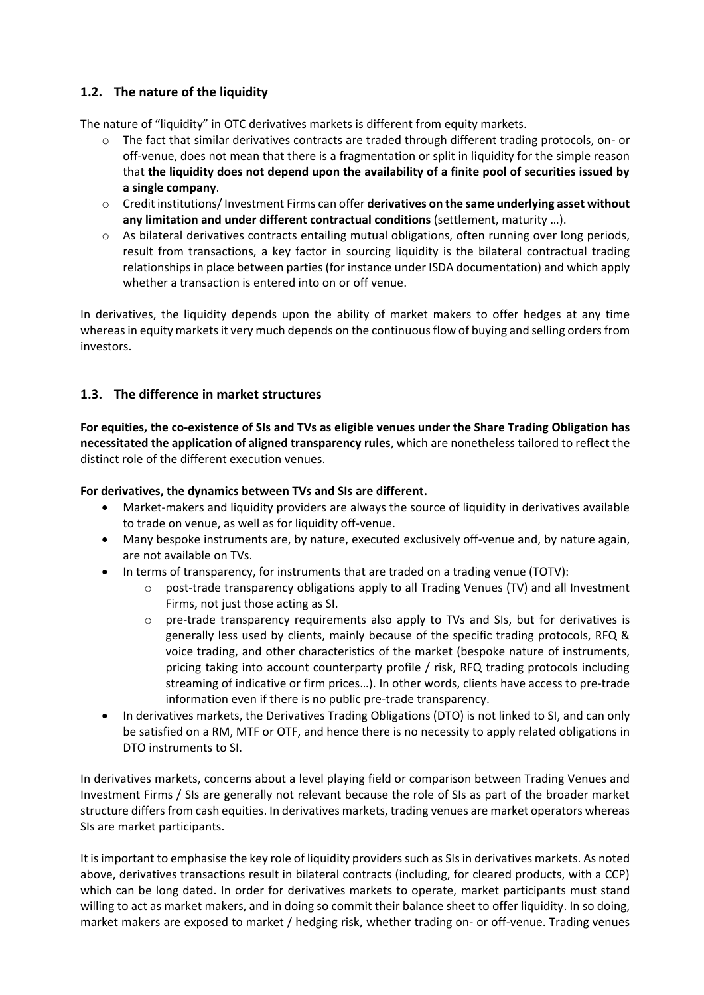#### **1.2. The nature of the liquidity**

The nature of "liquidity" in OTC derivatives markets is different from equity markets.

- o The fact that similar derivatives contracts are traded through different trading protocols, on- or off-venue, does not mean that there is a fragmentation or split in liquidity for the simple reason that **the liquidity does not depend upon the availability of a finite pool of securities issued by a single company**.
- o Credit institutions/ Investment Firms can offer **derivatives on the same underlying asset without any limitation and under different contractual conditions** (settlement, maturity …).
- $\circ$  As bilateral derivatives contracts entailing mutual obligations, often running over long periods, result from transactions, a key factor in sourcing liquidity is the bilateral contractual trading relationships in place between parties (for instance under ISDA documentation) and which apply whether a transaction is entered into on or off venue.

In derivatives, the liquidity depends upon the ability of market makers to offer hedges at any time whereas in equity markets it very much depends on the continuous flow of buying and selling orders from investors.

#### **1.3. The difference in market structures**

**For equities, the co-existence of SIs and TVs as eligible venues under the Share Trading Obligation has necessitated the application of aligned transparency rules**, which are nonetheless tailored to reflect the distinct role of the different execution venues.

#### **For derivatives, the dynamics between TVs and SIs are different.**

- Market-makers and liquidity providers are always the source of liquidity in derivatives available to trade on venue, as well as for liquidity off-venue.
- Many bespoke instruments are, by nature, executed exclusively off-venue and, by nature again, are not available on TVs.
- In terms of transparency, for instruments that are traded on a trading venue (TOTV):
	- o post-trade transparency obligations apply to all Trading Venues (TV) and all Investment Firms, not just those acting as SI.
	- o pre-trade transparency requirements also apply to TVs and SIs, but for derivatives is generally less used by clients, mainly because of the specific trading protocols, RFQ & voice trading, and other characteristics of the market (bespoke nature of instruments, pricing taking into account counterparty profile / risk, RFQ trading protocols including streaming of indicative or firm prices…). In other words, clients have access to pre-trade information even if there is no public pre-trade transparency.
- In derivatives markets, the Derivatives Trading Obligations (DTO) is not linked to SI, and can only be satisfied on a RM, MTF or OTF, and hence there is no necessity to apply related obligations in DTO instruments to SI.

In derivatives markets, concerns about a level playing field or comparison between Trading Venues and Investment Firms / SIs are generally not relevant because the role of SIs as part of the broader market structure differs from cash equities. In derivatives markets, trading venues are market operators whereas SIs are market participants.

It is important to emphasise the key role of liquidity providers such as SIs in derivatives markets. As noted above, derivatives transactions result in bilateral contracts (including, for cleared products, with a CCP) which can be long dated. In order for derivatives markets to operate, market participants must stand willing to act as market makers, and in doing so commit their balance sheet to offer liquidity. In so doing, market makers are exposed to market / hedging risk, whether trading on- or off-venue. Trading venues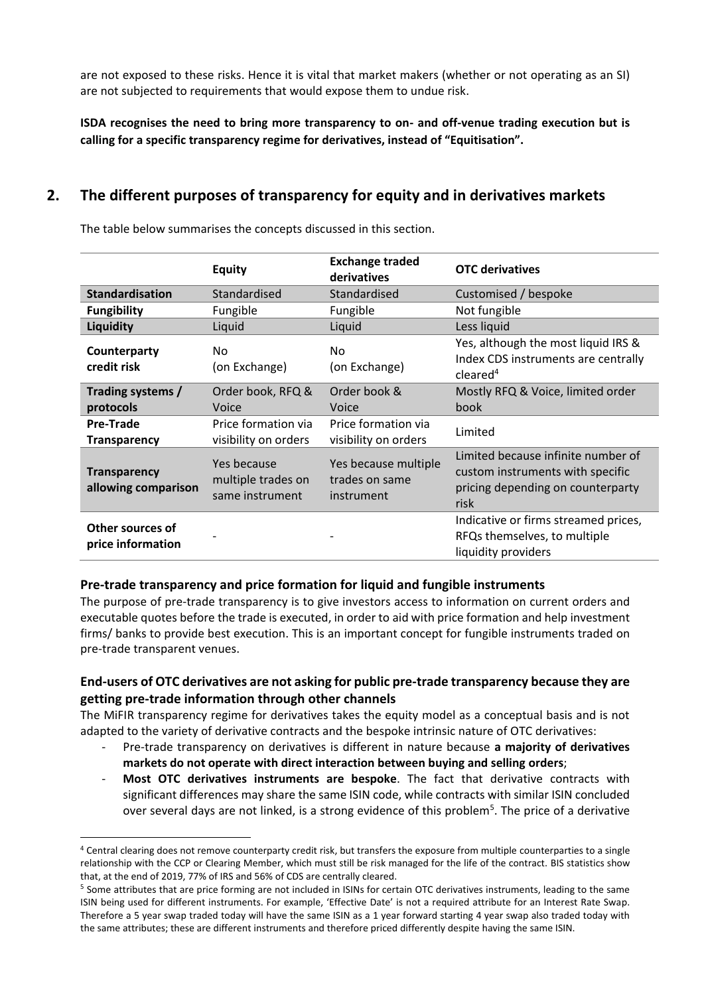are not exposed to these risks. Hence it is vital that market makers (whether or not operating as an SI) are not subjected to requirements that would expose them to undue risk.

**ISDA recognises the need to bring more transparency to on- and off-venue trading execution but is calling for a specific transparency regime for derivatives, instead of "Equitisation".**

### **2. The different purposes of transparency for equity and in derivatives markets**

|                                            | <b>Equity</b>                                        | <b>Exchange traded</b><br>derivatives                | <b>OTC</b> derivatives                                                                                              |
|--------------------------------------------|------------------------------------------------------|------------------------------------------------------|---------------------------------------------------------------------------------------------------------------------|
| <b>Standardisation</b>                     | Standardised                                         | Standardised                                         | Customised / bespoke                                                                                                |
| <b>Fungibility</b>                         | Fungible                                             | Fungible                                             | Not fungible                                                                                                        |
| Liquidity                                  | Liquid                                               | Liquid                                               | Less liquid                                                                                                         |
| Counterparty<br>credit risk                | No.<br>(on Exchange)                                 | No.<br>(on Exchange)                                 | Yes, although the most liquid IRS &<br>Index CDS instruments are centrally<br>cleaned <sup>4</sup>                  |
| Trading systems /<br>protocols             | Order book, RFQ &<br>Voice                           | Order book &<br>Voice                                | Mostly RFQ & Voice, limited order<br>book                                                                           |
| <b>Pre-Trade</b><br><b>Transparency</b>    | Price formation via<br>visibility on orders          | Price formation via<br>visibility on orders          | Limited                                                                                                             |
| <b>Transparency</b><br>allowing comparison | Yes because<br>multiple trades on<br>same instrument | Yes because multiple<br>trades on same<br>instrument | Limited because infinite number of<br>custom instruments with specific<br>pricing depending on counterparty<br>risk |
| Other sources of<br>price information      |                                                      |                                                      | Indicative or firms streamed prices,<br>RFQs themselves, to multiple<br>liquidity providers                         |

The table below summarises the concepts discussed in this section.

#### **Pre-trade transparency and price formation for liquid and fungible instruments**

The purpose of pre-trade transparency is to give investors access to information on current orders and executable quotes before the trade is executed, in order to aid with price formation and help investment firms/ banks to provide best execution. This is an important concept for fungible instruments traded on pre-trade transparent venues.

#### **End-users of OTC derivatives are not asking for public pre-trade transparency because they are getting pre-trade information through other channels**

The MiFIR transparency regime for derivatives takes the equity model as a conceptual basis and is not adapted to the variety of derivative contracts and the bespoke intrinsic nature of OTC derivatives:

- Pre-trade transparency on derivatives is different in nature because **a majority of derivatives markets do not operate with direct interaction between buying and selling orders**;
- **Most OTC derivatives instruments are bespoke**. The fact that derivative contracts with significant differences may share the same ISIN code, while contracts with similar ISIN concluded over several days are not linked, is a strong evidence of this problem<sup>5</sup>. The price of a derivative

<sup>4</sup> Central clearing does not remove counterparty credit risk, but transfers the exposure from multiple counterparties to a single relationship with the CCP or Clearing Member, which must still be risk managed for the life of the contract. BIS statistics show that, at the end of 2019, 77% of IRS and 56% of CDS are centrally cleared.

<sup>&</sup>lt;sup>5</sup> Some attributes that are price forming are not included in ISINs for certain OTC derivatives instruments, leading to the same ISIN being used for different instruments. For example, 'Effective Date' is not a required attribute for an Interest Rate Swap. Therefore a 5 year swap traded today will have the same ISIN as a 1 year forward starting 4 year swap also traded today with the same attributes; these are different instruments and therefore priced differently despite having the same ISIN.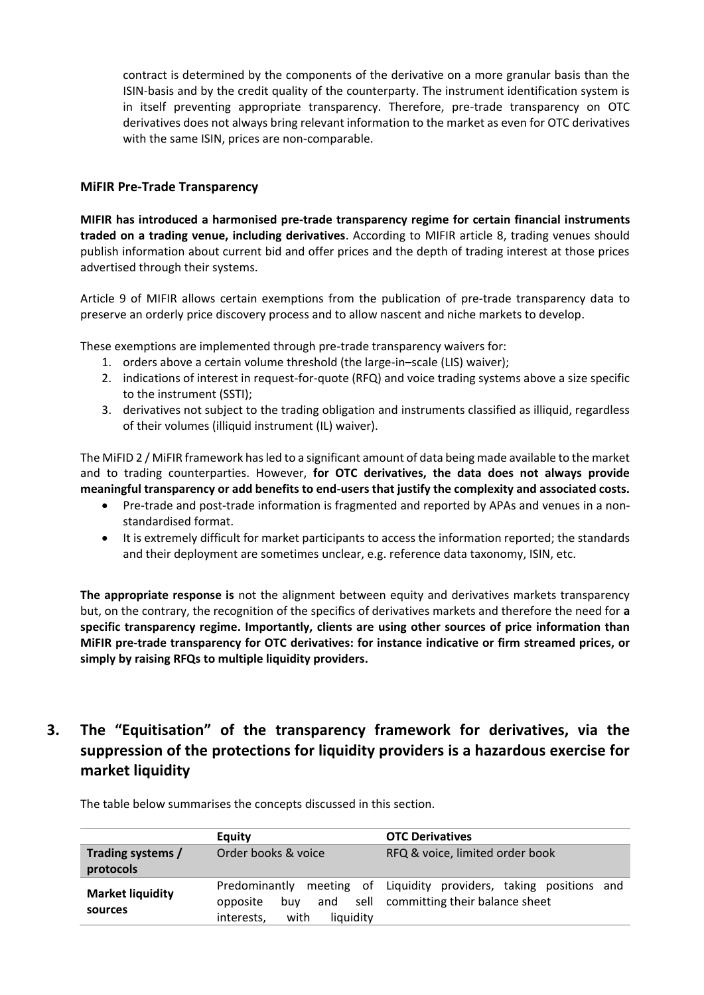contract is determined by the components of the derivative on a more granular basis than the ISIN-basis and by the credit quality of the counterparty. The instrument identification system is in itself preventing appropriate transparency. Therefore, pre-trade transparency on OTC derivatives does not always bring relevant information to the market as even for OTC derivatives with the same ISIN, prices are non-comparable.

#### **MiFIR Pre-Trade Transparency**

**MIFIR has introduced a harmonised pre-trade transparency regime for certain financial instruments traded on a trading venue, including derivatives**. According to MIFIR article 8, trading venues should publish information about current bid and offer prices and the depth of trading interest at those prices advertised through their systems.

Article 9 of MIFIR allows certain exemptions from the publication of pre-trade transparency data to preserve an orderly price discovery process and to allow nascent and niche markets to develop.

These exemptions are implemented through pre-trade transparency waivers for:

- 1. orders above a certain volume threshold (the large-in–scale (LIS) waiver);
- 2. indications of interest in request-for-quote (RFQ) and voice trading systems above a size specific to the instrument (SSTI);
- 3. derivatives not subject to the trading obligation and instruments classified as illiquid, regardless of their volumes (illiquid instrument (IL) waiver).

The MiFID 2 / MiFIR framework has led to a significant amount of data being made available to the market and to trading counterparties. However, **for OTC derivatives, the data does not always provide meaningful transparency or add benefits to end-users that justify the complexity and associated costs.**

- Pre-trade and post-trade information is fragmented and reported by APAs and venues in a nonstandardised format.
- It is extremely difficult for market participants to access the information reported; the standards and their deployment are sometimes unclear, e.g. reference data taxonomy, ISIN, etc.

**The appropriate response is** not the alignment between equity and derivatives markets transparency but, on the contrary, the recognition of the specifics of derivatives markets and therefore the need for **a specific transparency regime. Importantly, clients are using other sources of price information than MiFIR pre-trade transparency for OTC derivatives: for instance indicative or firm streamed prices, or simply by raising RFQs to multiple liquidity providers.**

## **3. The "Equitisation" of the transparency framework for derivatives, via the suppression of the protections for liquidity providers is a hazardous exercise for market liquidity**

**Equity OTC Derivatives Trading systems / protocols** Order books & voice RFQ & voice, limited order book **Market liquidity sources** Predominantly meeting of opposite buy and sell interests, with liquidity Liquidity providers, taking positions and committing their balance sheet

The table below summarises the concepts discussed in this section.